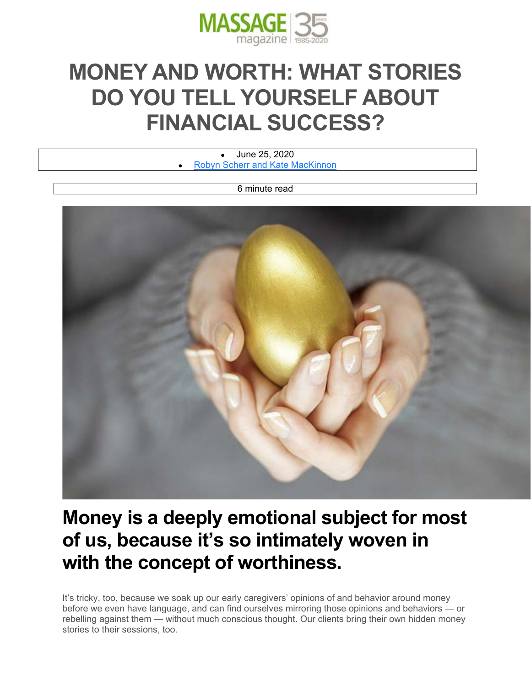

# **MONEY AND WORTH: WHAT STORIES DO YOU TELL YOURSELF ABOUT FINANCIAL SUCCESS?**

 June 25, 2020 Robyn Scherr and Kate MacKinnon

6 minute read



# **Money is a deeply emotional subject for most of us, because it's so intimately woven in with the concept of worthiness.**

It's tricky, too, because we soak up our early caregivers' opinions of and behavior around money before we even have language, and can find ourselves mirroring those opinions and behaviors — or rebelling against them — without much conscious thought. Our clients bring their own hidden money stories to their sessions, too.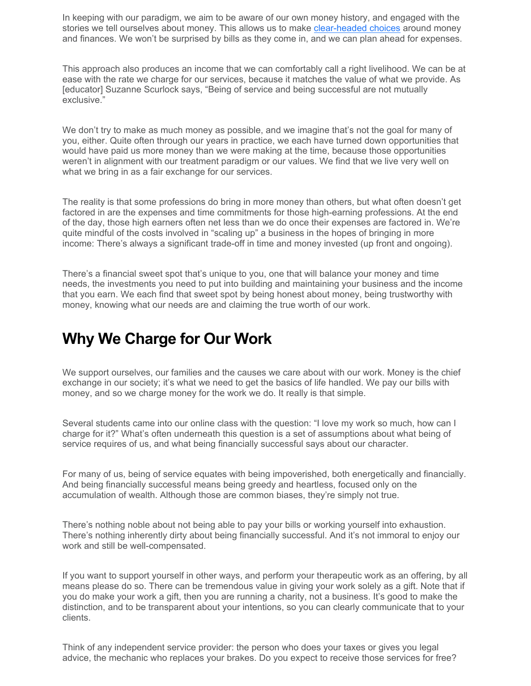In keeping with our paradigm, we aim to be aware of our own money history, and engaged with the stories we tell ourselves about money. This allows us to make clear-headed choices around money and finances. We won't be surprised by bills as they come in, and we can plan ahead for expenses.

This approach also produces an income that we can comfortably call a right livelihood. We can be at ease with the rate we charge for our services, because it matches the value of what we provide. As [educator] Suzanne Scurlock says, "Being of service and being successful are not mutually exclusive."

We don't try to make as much money as possible, and we imagine that's not the goal for many of you, either. Quite often through our years in practice, we each have turned down opportunities that would have paid us more money than we were making at the time, because those opportunities weren't in alignment with our treatment paradigm or our values. We find that we live very well on what we bring in as a fair exchange for our services.

The reality is that some professions do bring in more money than others, but what often doesn't get factored in are the expenses and time commitments for those high-earning professions. At the end of the day, those high earners often net less than we do once their expenses are factored in. We're quite mindful of the costs involved in "scaling up" a business in the hopes of bringing in more income: There's always a significant trade-off in time and money invested (up front and ongoing).

There's a financial sweet spot that's unique to you, one that will balance your money and time needs, the investments you need to put into building and maintaining your business and the income that you earn. We each find that sweet spot by being honest about money, being trustworthy with money, knowing what our needs are and claiming the true worth of our work.

### **Why We Charge for Our Work**

We support ourselves, our families and the causes we care about with our work. Money is the chief exchange in our society; it's what we need to get the basics of life handled. We pay our bills with money, and so we charge money for the work we do. It really is that simple.

Several students came into our online class with the question: "I love my work so much, how can I charge for it?" What's often underneath this question is a set of assumptions about what being of service requires of us, and what being financially successful says about our character.

For many of us, being of service equates with being impoverished, both energetically and financially. And being financially successful means being greedy and heartless, focused only on the accumulation of wealth. Although those are common biases, they're simply not true.

There's nothing noble about not being able to pay your bills or working yourself into exhaustion. There's nothing inherently dirty about being financially successful. And it's not immoral to enjoy our work and still be well-compensated.

If you want to support yourself in other ways, and perform your therapeutic work as an offering, by all means please do so. There can be tremendous value in giving your work solely as a gift. Note that if you do make your work a gift, then you are running a charity, not a business. It's good to make the distinction, and to be transparent about your intentions, so you can clearly communicate that to your clients.

Think of any independent service provider: the person who does your taxes or gives you legal advice, the mechanic who replaces your brakes. Do you expect to receive those services for free?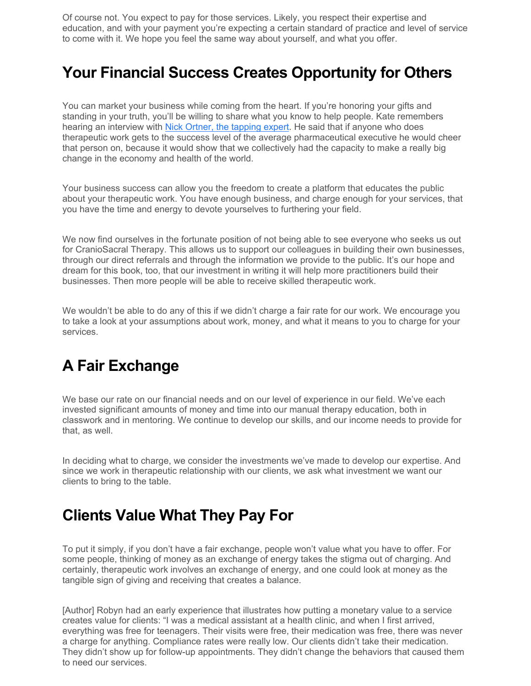Of course not. You expect to pay for those services. Likely, you respect their expertise and education, and with your payment you're expecting a certain standard of practice and level of service to come with it. We hope you feel the same way about yourself, and what you offer.

## **Your Financial Success Creates Opportunity for Others**

You can market your business while coming from the heart. If you're honoring your gifts and standing in your truth, you'll be willing to share what you know to help people. Kate remembers hearing an interview with Nick Ortner, the tapping expert. He said that if anyone who does therapeutic work gets to the success level of the average pharmaceutical executive he would cheer that person on, because it would show that we collectively had the capacity to make a really big change in the economy and health of the world.

Your business success can allow you the freedom to create a platform that educates the public about your therapeutic work. You have enough business, and charge enough for your services, that you have the time and energy to devote yourselves to furthering your field.

We now find ourselves in the fortunate position of not being able to see everyone who seeks us out for CranioSacral Therapy. This allows us to support our colleagues in building their own businesses, through our direct referrals and through the information we provide to the public. It's our hope and dream for this book, too, that our investment in writing it will help more practitioners build their businesses. Then more people will be able to receive skilled therapeutic work.

We wouldn't be able to do any of this if we didn't charge a fair rate for our work. We encourage you to take a look at your assumptions about work, money, and what it means to you to charge for your services.

### **A Fair Exchange**

We base our rate on our financial needs and on our level of experience in our field. We've each invested significant amounts of money and time into our manual therapy education, both in classwork and in mentoring. We continue to develop our skills, and our income needs to provide for that, as well.

In deciding what to charge, we consider the investments we've made to develop our expertise. And since we work in therapeutic relationship with our clients, we ask what investment we want our clients to bring to the table.

### **Clients Value What They Pay For**

To put it simply, if you don't have a fair exchange, people won't value what you have to offer. For some people, thinking of money as an exchange of energy takes the stigma out of charging. And certainly, therapeutic work involves an exchange of energy, and one could look at money as the tangible sign of giving and receiving that creates a balance.

[Author] Robyn had an early experience that illustrates how putting a monetary value to a service creates value for clients: "I was a medical assistant at a health clinic, and when I first arrived, everything was free for teenagers. Their visits were free, their medication was free, there was never a charge for anything. Compliance rates were really low. Our clients didn't take their medication. They didn't show up for follow-up appointments. They didn't change the behaviors that caused them to need our services.